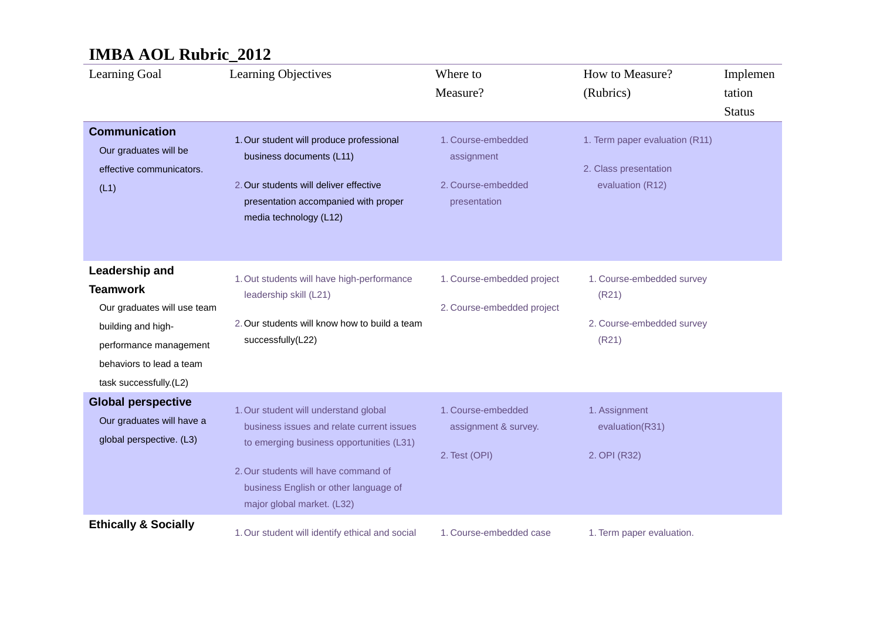| Learning Goal                                                                                                                                                          | Learning Objectives                                                                                                                                                                                                                           | Where to<br>Measure?                                                   | How to Measure?<br>(Rubrics)                                                | Implemen<br>tation<br><b>Status</b> |
|------------------------------------------------------------------------------------------------------------------------------------------------------------------------|-----------------------------------------------------------------------------------------------------------------------------------------------------------------------------------------------------------------------------------------------|------------------------------------------------------------------------|-----------------------------------------------------------------------------|-------------------------------------|
| <b>Communication</b><br>Our graduates will be<br>effective communicators.<br>(L1)                                                                                      | 1. Our student will produce professional<br>business documents (L11)<br>2. Our students will deliver effective<br>presentation accompanied with proper<br>media technology (L12)                                                              | 1. Course-embedded<br>assignment<br>2. Course-embedded<br>presentation | 1. Term paper evaluation (R11)<br>2. Class presentation<br>evaluation (R12) |                                     |
| Leadership and<br><b>Teamwork</b><br>Our graduates will use team<br>building and high-<br>performance management<br>behaviors to lead a team<br>task successfully.(L2) | 1. Out students will have high-performance<br>leadership skill (L21)<br>2. Our students will know how to build a team<br>successfully(L22)                                                                                                    | 1. Course-embedded project<br>2. Course-embedded project               | 1. Course-embedded survey<br>(R21)<br>2. Course-embedded survey<br>(R21)    |                                     |
| <b>Global perspective</b><br>Our graduates will have a<br>global perspective. (L3)                                                                                     | 1. Our student will understand global<br>business issues and relate current issues<br>to emerging business opportunities (L31)<br>2. Our students will have command of<br>business English or other language of<br>major global market. (L32) | 1. Course-embedded<br>assignment & survey.<br>2. Test (OPI)            | 1. Assignment<br>evaluation(R31)<br>2. OPI (R32)                            |                                     |
| <b>Ethically &amp; Socially</b>                                                                                                                                        | 1. Our student will identify ethical and social                                                                                                                                                                                               | 1. Course-embedded case                                                | 1. Term paper evaluation.                                                   |                                     |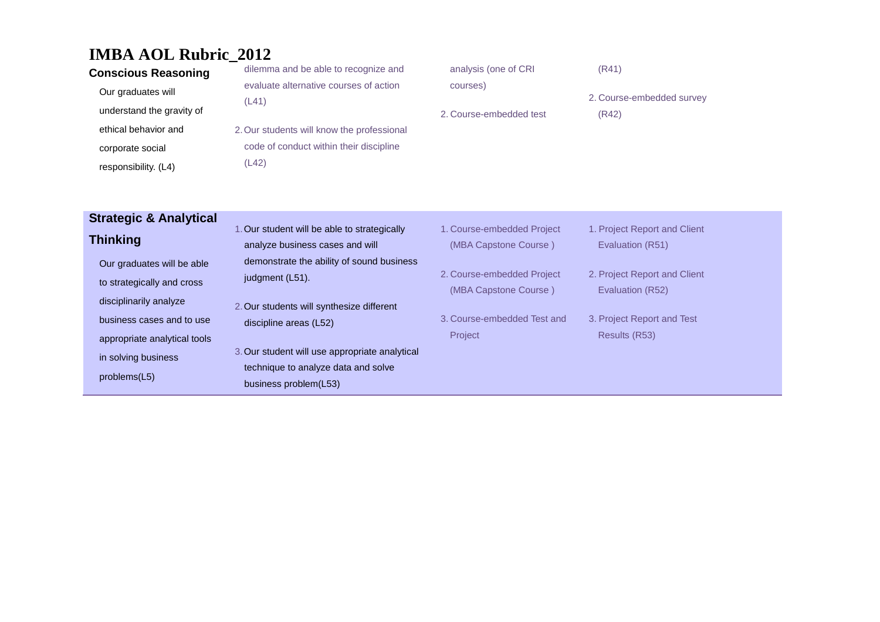| <b>Conscious Reasoning</b> | dilemma and be able to recognize and       | analysis (one of CRI    | (R41)                     |
|----------------------------|--------------------------------------------|-------------------------|---------------------------|
| Our graduates will         | evaluate alternative courses of action     | courses)                |                           |
|                            | (L41)                                      |                         | 2. Course-embedded survey |
| understand the gravity of  |                                            | 2. Course-embedded test | (R42)                     |
| ethical behavior and       | 2. Our students will know the professional |                         |                           |
| corporate social           | code of conduct within their discipline    |                         |                           |
| responsibility. (L4)       | (L42)                                      |                         |                           |

### **Strategic & Analytical Thinking**

- Our graduates will be able to strategically and cross disciplinarily analyze business cases and to use appropriate analytical tools in solving business problems(L5)
- 1.Our student will be able to strategically analyze business cases and will demonstrate the ability of sound business judgment (L51).
- 2.Our students will synthesize different discipline areas (L52)
- 3.Our student will use appropriate analytical technique to analyze data and solve business problem(L53)
- 1. Course-embedded Project (MBA Capstone Course )
- 2. Course-embedded Project (MBA Capstone Course )
- 3. Course-embedded Test and Project
- 1. Project Report and Client Evaluation (R51)
- 2. Project Report and Client Evaluation (R52)
- 3. Project Report and Test Results (R53)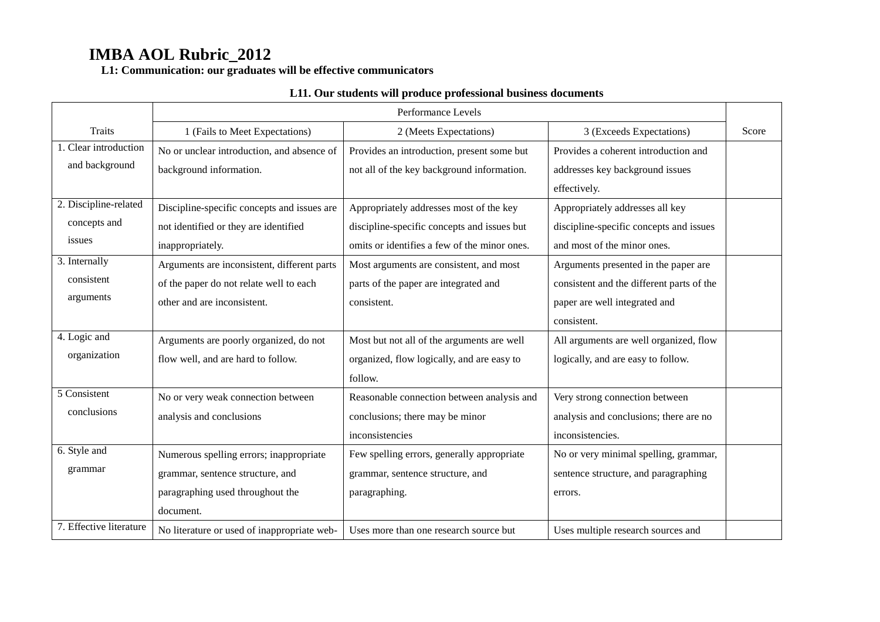**L1: Communication: our graduates will be effective communicators**

|                         |                                             | Performance Levels                           |                                           |       |
|-------------------------|---------------------------------------------|----------------------------------------------|-------------------------------------------|-------|
| <b>Traits</b>           | 1 (Fails to Meet Expectations)              | 2 (Meets Expectations)                       | 3 (Exceeds Expectations)                  | Score |
| 1. Clear introduction   | No or unclear introduction, and absence of  | Provides an introduction, present some but   | Provides a coherent introduction and      |       |
| and background          | background information.                     | not all of the key background information.   | addresses key background issues           |       |
|                         |                                             |                                              | effectively.                              |       |
| 2. Discipline-related   | Discipline-specific concepts and issues are | Appropriately addresses most of the key      | Appropriately addresses all key           |       |
| concepts and            | not identified or they are identified       | discipline-specific concepts and issues but  | discipline-specific concepts and issues   |       |
| issues                  | inappropriately.                            | omits or identifies a few of the minor ones. | and most of the minor ones.               |       |
| 3. Internally           | Arguments are inconsistent, different parts | Most arguments are consistent, and most      | Arguments presented in the paper are      |       |
| consistent              | of the paper do not relate well to each     | parts of the paper are integrated and        | consistent and the different parts of the |       |
| arguments               | other and are inconsistent.                 | consistent.                                  | paper are well integrated and             |       |
|                         |                                             |                                              | consistent.                               |       |
| 4. Logic and            | Arguments are poorly organized, do not      | Most but not all of the arguments are well   | All arguments are well organized, flow    |       |
| organization            | flow well, and are hard to follow.          | organized, flow logically, and are easy to   | logically, and are easy to follow.        |       |
|                         |                                             | follow.                                      |                                           |       |
| 5 Consistent            | No or very weak connection between          | Reasonable connection between analysis and   | Very strong connection between            |       |
| conclusions             | analysis and conclusions                    | conclusions; there may be minor              | analysis and conclusions; there are no    |       |
|                         |                                             | inconsistencies                              | inconsistencies.                          |       |
| 6. Style and            | Numerous spelling errors; inappropriate     | Few spelling errors, generally appropriate   | No or very minimal spelling, grammar,     |       |
| grammar                 | grammar, sentence structure, and            | grammar, sentence structure, and             | sentence structure, and paragraphing      |       |
|                         | paragraphing used throughout the            | paragraphing.                                | errors.                                   |       |
|                         | document.                                   |                                              |                                           |       |
| 7. Effective literature | No literature or used of inappropriate web- | Uses more than one research source but       | Uses multiple research sources and        |       |

#### **L11. Our students will produce professional business documents**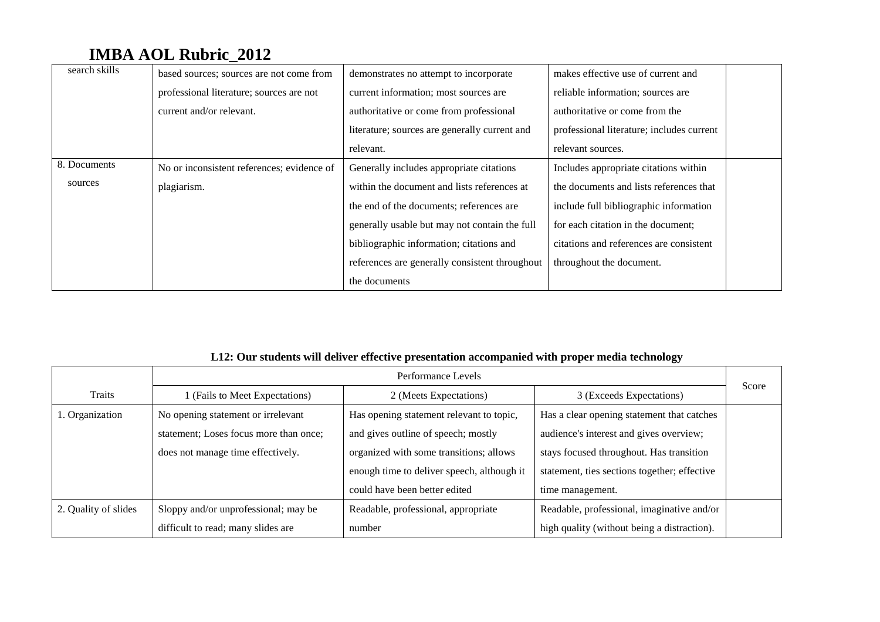| search skills | based sources; sources are not come from   | demonstrates no attempt to incorporate         | makes effective use of current and        |
|---------------|--------------------------------------------|------------------------------------------------|-------------------------------------------|
|               | professional literature; sources are not   | current information; most sources are          | reliable information; sources are         |
|               | current and/or relevant.                   | authoritative or come from professional        | authoritative or come from the            |
|               |                                            | literature; sources are generally current and  | professional literature; includes current |
|               |                                            | relevant.                                      | relevant sources.                         |
| 8. Documents  | No or inconsistent references; evidence of | Generally includes appropriate citations       | Includes appropriate citations within     |
| sources       | plagiarism.                                | within the document and lists references at    | the documents and lists references that   |
|               |                                            | the end of the documents; references are       | include full bibliographic information    |
|               |                                            | generally usable but may not contain the full  | for each citation in the document;        |
|               |                                            | bibliographic information; citations and       | citations and references are consistent   |
|               |                                            | references are generally consistent throughout | throughout the document.                  |
|               |                                            | the documents                                  |                                           |

### **L12: Our students will deliver effective presentation accompanied with proper media technology**

|                      | Performance Levels                     |                                            |                                              | Score |
|----------------------|----------------------------------------|--------------------------------------------|----------------------------------------------|-------|
| Traits               | 1 (Fails to Meet Expectations)         | 2 (Meets Expectations)                     | 3 (Exceeds Expectations)                     |       |
| 1. Organization      | No opening statement or irrelevant     | Has opening statement relevant to topic,   | Has a clear opening statement that catches   |       |
|                      | statement; Loses focus more than once; | and gives outline of speech; mostly        | audience's interest and gives overview;      |       |
|                      | does not manage time effectively.      | organized with some transitions; allows    | stays focused throughout. Has transition     |       |
|                      |                                        | enough time to deliver speech, although it | statement, ties sections together; effective |       |
|                      |                                        | could have been better edited              | time management.                             |       |
| 2. Quality of slides | Sloppy and/or unprofessional; may be   | Readable, professional, appropriate        | Readable, professional, imaginative and/or   |       |
|                      | difficult to read; many slides are     | number                                     | high quality (without being a distraction).  |       |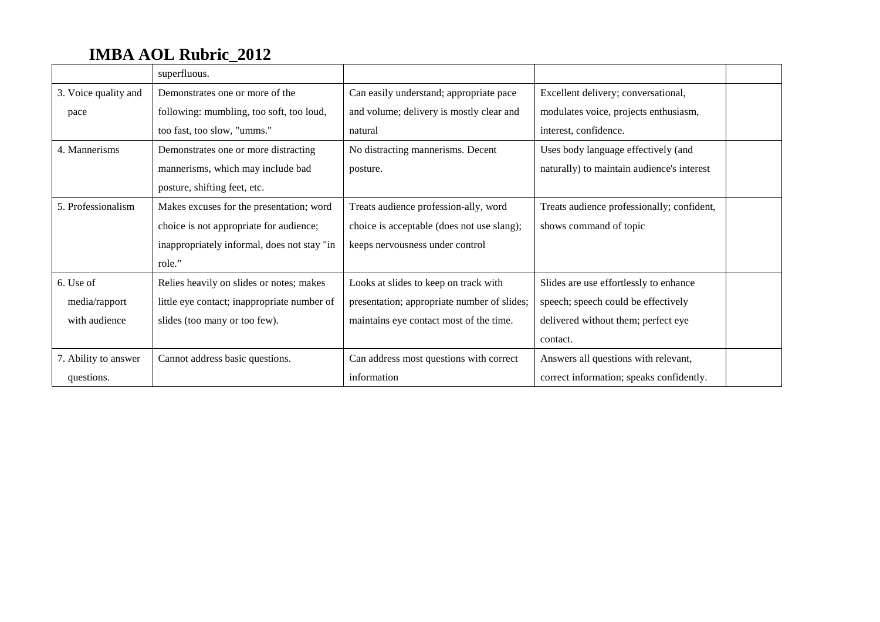|                      | superfluous.                                |                                             |                                            |  |
|----------------------|---------------------------------------------|---------------------------------------------|--------------------------------------------|--|
| 3. Voice quality and | Demonstrates one or more of the             | Can easily understand; appropriate pace     | Excellent delivery; conversational,        |  |
| pace                 | following: mumbling, too soft, too loud,    | and volume; delivery is mostly clear and    | modulates voice, projects enthusiasm,      |  |
|                      | too fast, too slow, "umms."                 | natural                                     | interest, confidence.                      |  |
| 4. Mannerisms        | Demonstrates one or more distracting        | No distracting mannerisms. Decent           | Uses body language effectively (and        |  |
|                      | mannerisms, which may include bad           | posture.                                    | naturally) to maintain audience's interest |  |
|                      | posture, shifting feet, etc.                |                                             |                                            |  |
| 5. Professionalism   | Makes excuses for the presentation; word    | Treats audience profession-ally, word       | Treats audience professionally; confident, |  |
|                      | choice is not appropriate for audience;     | choice is acceptable (does not use slang);  | shows command of topic                     |  |
|                      | inappropriately informal, does not stay "in | keeps nervousness under control             |                                            |  |
|                      | role."                                      |                                             |                                            |  |
| 6. Use of            | Relies heavily on slides or notes; makes    | Looks at slides to keep on track with       | Slides are use effortlessly to enhance     |  |
| media/rapport        | little eye contact; inappropriate number of | presentation; appropriate number of slides; | speech; speech could be effectively        |  |
| with audience        | slides (too many or too few).               | maintains eye contact most of the time.     | delivered without them; perfect eye        |  |
|                      |                                             |                                             | contact.                                   |  |
| 7. Ability to answer | Cannot address basic questions.             | Can address most questions with correct     | Answers all questions with relevant,       |  |
| questions.           |                                             | information                                 | correct information; speaks confidently.   |  |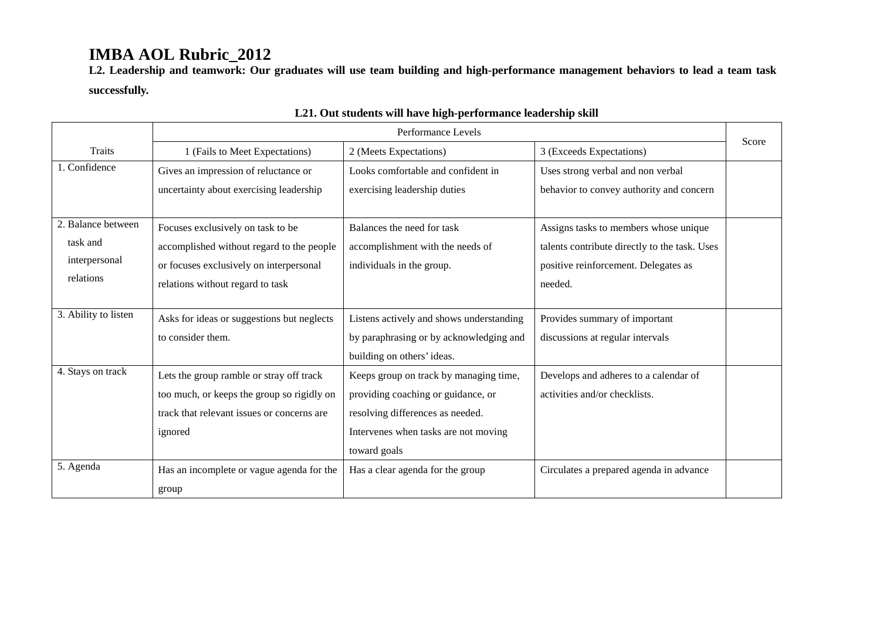**L2. Leadership and teamwork: Our graduates will use team building and high-performance management behaviors to lead a team task successfully.**

|                      | Performance Levels                         |                                          |                                               |       |
|----------------------|--------------------------------------------|------------------------------------------|-----------------------------------------------|-------|
| <b>Traits</b>        | 1 (Fails to Meet Expectations)             | 2 (Meets Expectations)                   | 3 (Exceeds Expectations)                      | Score |
| 1. Confidence        | Gives an impression of reluctance or       | Looks comfortable and confident in       | Uses strong verbal and non verbal             |       |
|                      | uncertainty about exercising leadership    | exercising leadership duties             | behavior to convey authority and concern      |       |
|                      |                                            |                                          |                                               |       |
| 2. Balance between   | Focuses exclusively on task to be          | Balances the need for task               | Assigns tasks to members whose unique         |       |
| task and             | accomplished without regard to the people  | accomplishment with the needs of         | talents contribute directly to the task. Uses |       |
| interpersonal        | or focuses exclusively on interpersonal    | individuals in the group.                | positive reinforcement. Delegates as          |       |
| relations            | relations without regard to task           |                                          | needed.                                       |       |
|                      |                                            |                                          |                                               |       |
| 3. Ability to listen | Asks for ideas or suggestions but neglects | Listens actively and shows understanding | Provides summary of important                 |       |
|                      | to consider them.                          | by paraphrasing or by acknowledging and  | discussions at regular intervals              |       |
|                      |                                            | building on others' ideas.               |                                               |       |
| 4. Stays on track    | Lets the group ramble or stray off track   | Keeps group on track by managing time,   | Develops and adheres to a calendar of         |       |
|                      | too much, or keeps the group so rigidly on | providing coaching or guidance, or       | activities and/or checklists.                 |       |
|                      | track that relevant issues or concerns are | resolving differences as needed.         |                                               |       |
|                      | ignored                                    | Intervenes when tasks are not moving     |                                               |       |
|                      |                                            | toward goals                             |                                               |       |
| 5. Agenda            | Has an incomplete or vague agenda for the  | Has a clear agenda for the group         | Circulates a prepared agenda in advance       |       |
|                      | group                                      |                                          |                                               |       |

### **L21. Out students will have high-performance leadership skill**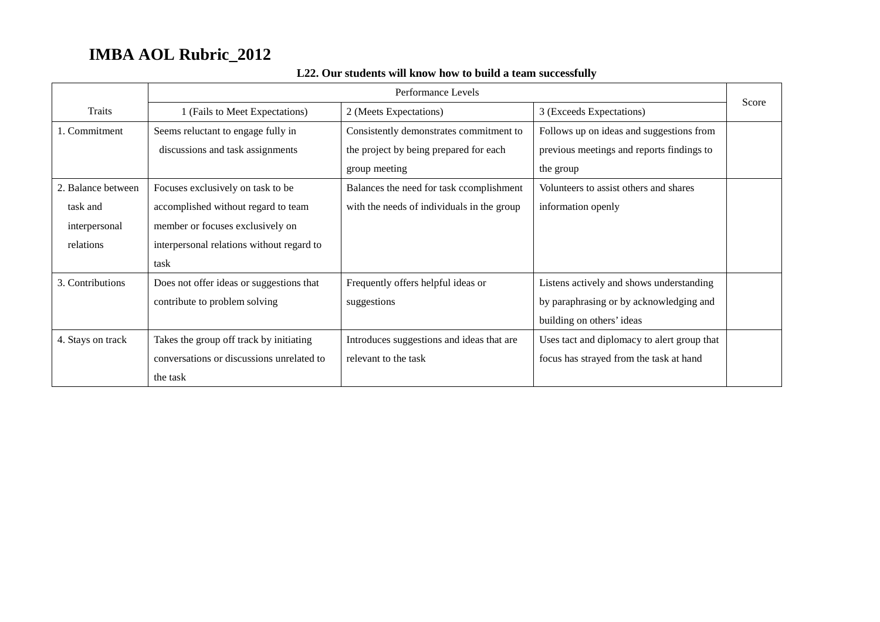|                    | Performance Levels                        |                                            |                                             |       |
|--------------------|-------------------------------------------|--------------------------------------------|---------------------------------------------|-------|
| Traits             | 1 (Fails to Meet Expectations)            | 2 (Meets Expectations)                     | 3 (Exceeds Expectations)                    | Score |
| 1. Commitment      | Seems reluctant to engage fully in        | Consistently demonstrates commitment to    | Follows up on ideas and suggestions from    |       |
|                    | discussions and task assignments          | the project by being prepared for each     | previous meetings and reports findings to   |       |
|                    |                                           | group meeting                              | the group                                   |       |
| 2. Balance between | Focuses exclusively on task to be         | Balances the need for task ccomplishment   | Volunteers to assist others and shares      |       |
| task and           | accomplished without regard to team       | with the needs of individuals in the group | information openly                          |       |
| interpersonal      | member or focuses exclusively on          |                                            |                                             |       |
| relations          | interpersonal relations without regard to |                                            |                                             |       |
|                    | task                                      |                                            |                                             |       |
| 3. Contributions   | Does not offer ideas or suggestions that  | Frequently offers helpful ideas or         | Listens actively and shows understanding    |       |
|                    | contribute to problem solving             | suggestions                                | by paraphrasing or by acknowledging and     |       |
|                    |                                           |                                            | building on others' ideas                   |       |
| 4. Stays on track  | Takes the group off track by initiating   | Introduces suggestions and ideas that are  | Uses tact and diplomacy to alert group that |       |
|                    | conversations or discussions unrelated to | relevant to the task                       | focus has strayed from the task at hand     |       |
|                    | the task                                  |                                            |                                             |       |

### **L22. Our students will know how to build a team successfully**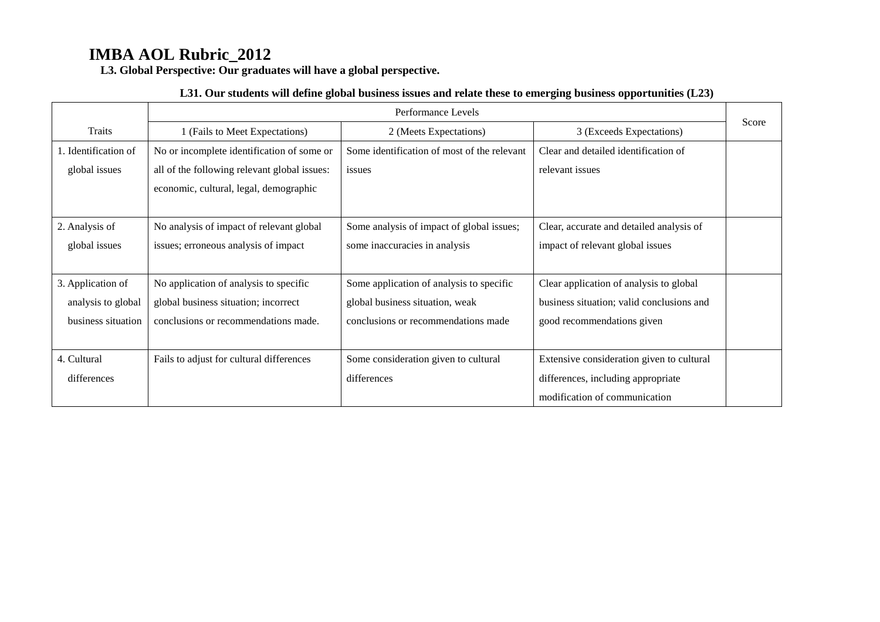**L3. Global Perspective: Our graduates will have a global perspective.**

#### **L31. Our students will define global business issues and relate these to emerging business opportunities (L23)**

|                      | Performance Levels                           |                                             |                                           | Score |
|----------------------|----------------------------------------------|---------------------------------------------|-------------------------------------------|-------|
| Traits               | 1 (Fails to Meet Expectations)               | 2 (Meets Expectations)                      | 3 (Exceeds Expectations)                  |       |
| 1. Identification of | No or incomplete identification of some or   | Some identification of most of the relevant | Clear and detailed identification of      |       |
| global issues        | all of the following relevant global issues: | issues                                      | relevant issues                           |       |
|                      | economic, cultural, legal, demographic       |                                             |                                           |       |
|                      |                                              |                                             |                                           |       |
| 2. Analysis of       | No analysis of impact of relevant global     | Some analysis of impact of global issues;   | Clear, accurate and detailed analysis of  |       |
| global issues        | issues; erroneous analysis of impact         | some inaccuracies in analysis               | impact of relevant global issues          |       |
|                      |                                              |                                             |                                           |       |
| 3. Application of    | No application of analysis to specific       | Some application of analysis to specific    | Clear application of analysis to global   |       |
| analysis to global   | global business situation; incorrect         | global business situation, weak             | business situation; valid conclusions and |       |
| business situation   | conclusions or recommendations made.         | conclusions or recommendations made         | good recommendations given                |       |
|                      |                                              |                                             |                                           |       |
| 4. Cultural          | Fails to adjust for cultural differences     | Some consideration given to cultural        | Extensive consideration given to cultural |       |
| differences          |                                              | differences                                 | differences, including appropriate        |       |
|                      |                                              |                                             | modification of communication             |       |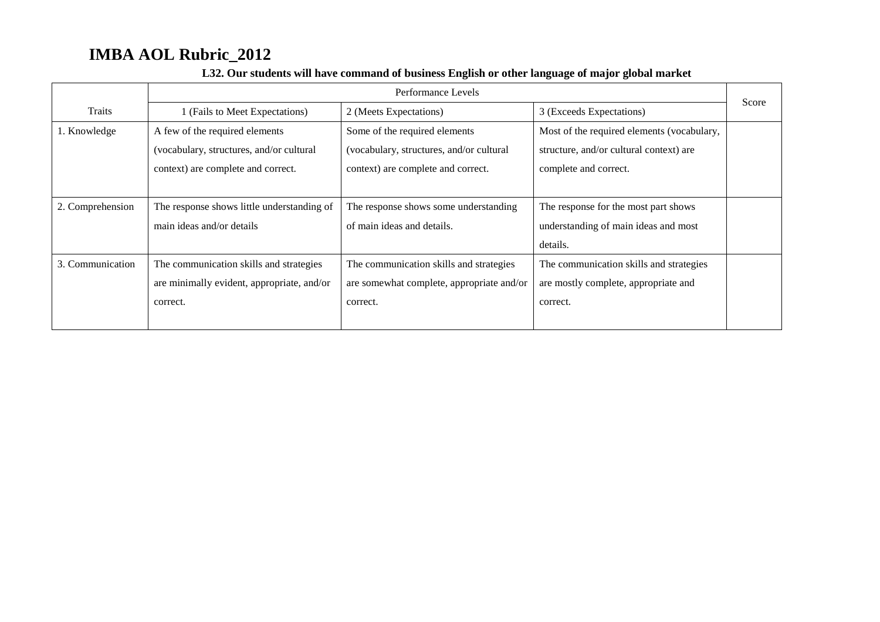|                  | Performance Levels                         |                                           |                                            |       |
|------------------|--------------------------------------------|-------------------------------------------|--------------------------------------------|-------|
| Traits           | 1 (Fails to Meet Expectations)             | 2 (Meets Expectations)                    | 3 (Exceeds Expectations)                   | Score |
| 1. Knowledge     | A few of the required elements             | Some of the required elements             | Most of the required elements (vocabulary, |       |
|                  | (vocabulary, structures, and/or cultural)  | (vocabulary, structures, and/or cultural  | structure, and/or cultural context) are    |       |
|                  | context) are complete and correct.         | context) are complete and correct.        | complete and correct.                      |       |
|                  |                                            |                                           |                                            |       |
| 2. Comprehension | The response shows little understanding of | The response shows some understanding     | The response for the most part shows       |       |
|                  | main ideas and/or details                  | of main ideas and details.                | understanding of main ideas and most       |       |
|                  |                                            |                                           | details.                                   |       |
| 3. Communication | The communication skills and strategies    | The communication skills and strategies   | The communication skills and strategies    |       |
|                  | are minimally evident, appropriate, and/or | are somewhat complete, appropriate and/or | are mostly complete, appropriate and       |       |
|                  | correct.                                   | correct.                                  | correct.                                   |       |
|                  |                                            |                                           |                                            |       |

### **L32. Our students will have command of business English or other language of major global market**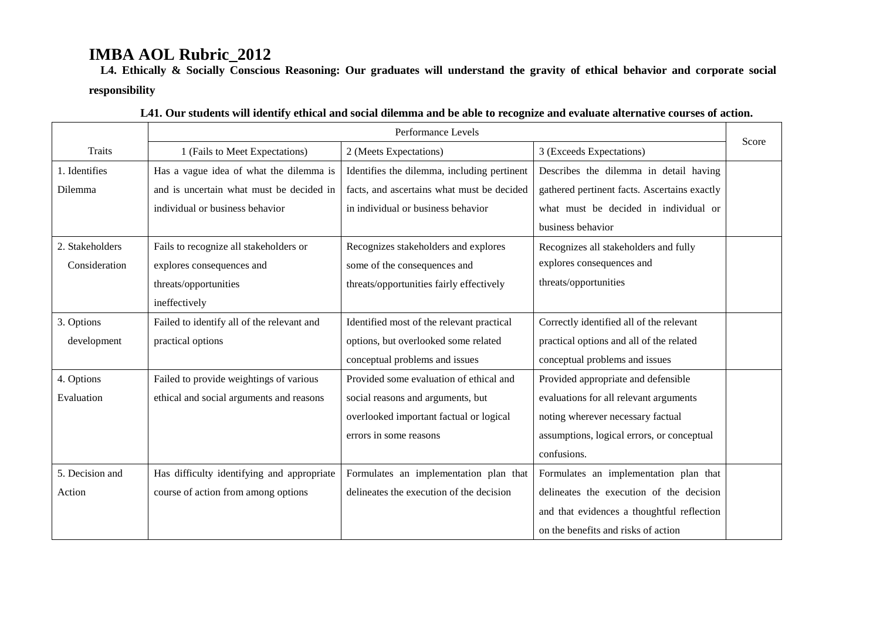**L4. Ethically & Socially Conscious Reasoning: Our graduates will understand the gravity of ethical behavior and corporate social responsibility**

|                 | Performance Levels                         |                                             |                                              |       |
|-----------------|--------------------------------------------|---------------------------------------------|----------------------------------------------|-------|
| <b>Traits</b>   | 1 (Fails to Meet Expectations)             | 2 (Meets Expectations)                      | 3 (Exceeds Expectations)                     | Score |
| 1. Identifies   | Has a vague idea of what the dilemma is    | Identifies the dilemma, including pertinent | Describes the dilemma in detail having       |       |
| Dilemma         | and is uncertain what must be decided in   | facts, and ascertains what must be decided  | gathered pertinent facts. Ascertains exactly |       |
|                 | individual or business behavior            | in individual or business behavior          | what must be decided in individual or        |       |
|                 |                                            |                                             | business behavior                            |       |
| 2. Stakeholders | Fails to recognize all stakeholders or     | Recognizes stakeholders and explores        | Recognizes all stakeholders and fully        |       |
| Consideration   | explores consequences and                  | some of the consequences and                | explores consequences and                    |       |
|                 | threats/opportunities                      | threats/opportunities fairly effectively    | threats/opportunities                        |       |
|                 | ineffectively                              |                                             |                                              |       |
| 3. Options      | Failed to identify all of the relevant and | Identified most of the relevant practical   | Correctly identified all of the relevant     |       |
| development     | practical options                          | options, but overlooked some related        | practical options and all of the related     |       |
|                 |                                            | conceptual problems and issues              | conceptual problems and issues               |       |
| 4. Options      | Failed to provide weightings of various    | Provided some evaluation of ethical and     | Provided appropriate and defensible          |       |
| Evaluation      | ethical and social arguments and reasons   | social reasons and arguments, but           | evaluations for all relevant arguments       |       |
|                 |                                            | overlooked important factual or logical     | noting wherever necessary factual            |       |
|                 |                                            | errors in some reasons                      | assumptions, logical errors, or conceptual   |       |
|                 |                                            |                                             | confusions.                                  |       |
| 5. Decision and | Has difficulty identifying and appropriate | Formulates an implementation plan that      | Formulates an implementation plan that       |       |
| Action          | course of action from among options        | delineates the execution of the decision    | delineates the execution of the decision     |       |
|                 |                                            |                                             | and that evidences a thoughtful reflection   |       |
|                 |                                            |                                             | on the benefits and risks of action          |       |

|  | L41. Our students will identify ethical and social dilemma and be able to recognize and evaluate alternative courses of action. |  |
|--|---------------------------------------------------------------------------------------------------------------------------------|--|
|--|---------------------------------------------------------------------------------------------------------------------------------|--|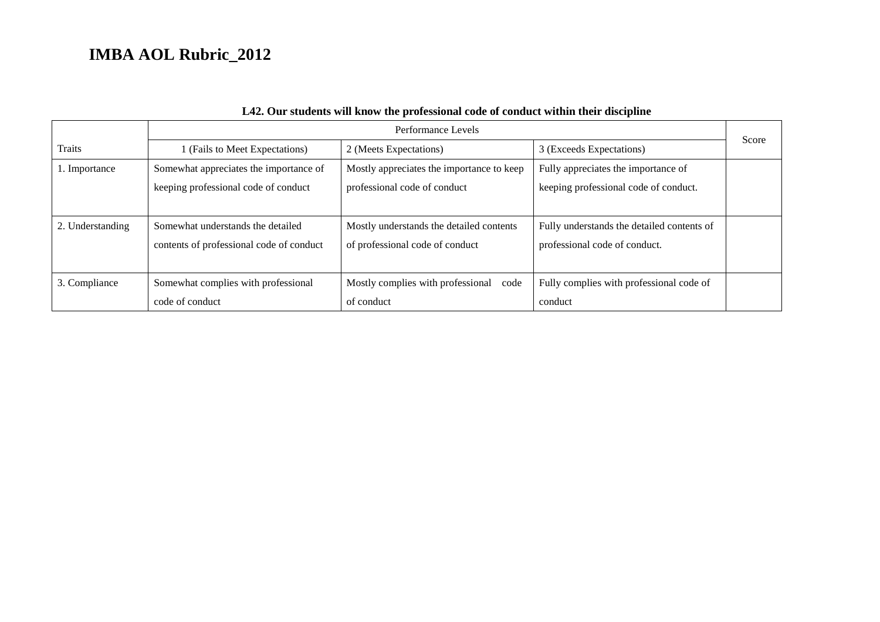|                  | Performance Levels                       |                                           |                                            |       |
|------------------|------------------------------------------|-------------------------------------------|--------------------------------------------|-------|
| <b>Traits</b>    | I (Fails to Meet Expectations)           | 2 (Meets Expectations)                    | 3 (Exceeds Expectations)                   | Score |
| 1. Importance    | Somewhat appreciates the importance of   | Mostly appreciates the importance to keep | Fully appreciates the importance of        |       |
|                  | keeping professional code of conduct     | professional code of conduct              | keeping professional code of conduct.      |       |
|                  |                                          |                                           |                                            |       |
| 2. Understanding | Somewhat understands the detailed        | Mostly understands the detailed contents  | Fully understands the detailed contents of |       |
|                  | contents of professional code of conduct | of professional code of conduct           | professional code of conduct.              |       |
|                  |                                          |                                           |                                            |       |
| 3. Compliance    | Somewhat complies with professional      | Mostly complies with professional code    | Fully complies with professional code of   |       |
|                  | code of conduct                          | of conduct                                | conduct                                    |       |

### **L42. Our students will know the professional code of conduct within their discipline**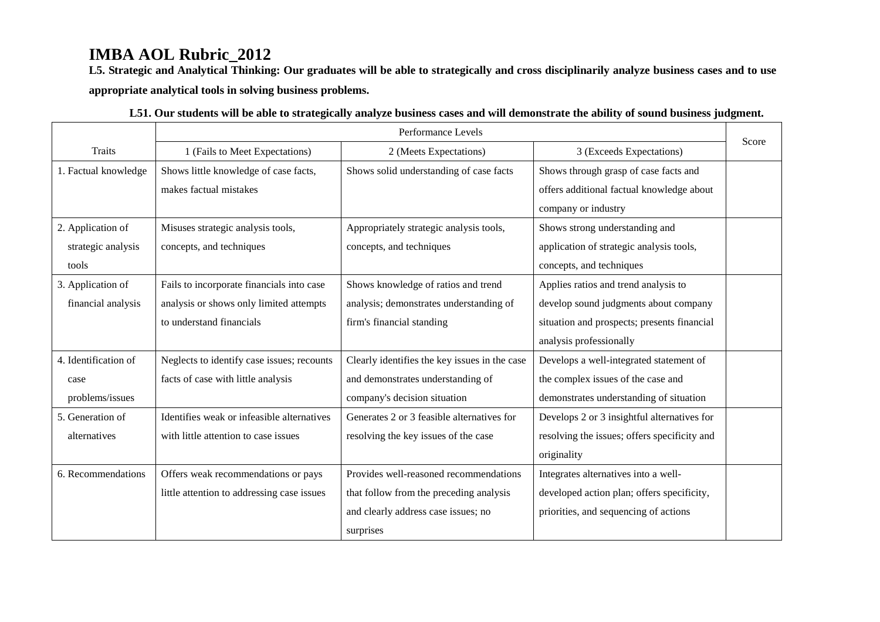**L5. Strategic and Analytical Thinking: Our graduates will be able to strategically and cross disciplinarily analyze business cases and to use appropriate analytical tools in solving business problems.** 

|                      | Performance Levels                         |                                               |                                              |       |
|----------------------|--------------------------------------------|-----------------------------------------------|----------------------------------------------|-------|
| <b>Traits</b>        | 1 (Fails to Meet Expectations)             | 2 (Meets Expectations)                        | 3 (Exceeds Expectations)                     | Score |
| 1. Factual knowledge | Shows little knowledge of case facts,      | Shows solid understanding of case facts       | Shows through grasp of case facts and        |       |
|                      | makes factual mistakes                     |                                               | offers additional factual knowledge about    |       |
|                      |                                            |                                               | company or industry                          |       |
| 2. Application of    | Misuses strategic analysis tools,          | Appropriately strategic analysis tools,       | Shows strong understanding and               |       |
| strategic analysis   | concepts, and techniques                   | concepts, and techniques                      | application of strategic analysis tools,     |       |
| tools                |                                            |                                               | concepts, and techniques                     |       |
| 3. Application of    | Fails to incorporate financials into case  | Shows knowledge of ratios and trend           | Applies ratios and trend analysis to         |       |
| financial analysis   | analysis or shows only limited attempts    | analysis; demonstrates understanding of       | develop sound judgments about company        |       |
|                      | to understand financials                   | firm's financial standing                     | situation and prospects; presents financial  |       |
|                      |                                            |                                               | analysis professionally                      |       |
| 4. Identification of | Neglects to identify case issues; recounts | Clearly identifies the key issues in the case | Develops a well-integrated statement of      |       |
| case                 | facts of case with little analysis         | and demonstrates understanding of             | the complex issues of the case and           |       |
| problems/issues      |                                            | company's decision situation                  | demonstrates understanding of situation      |       |
| 5. Generation of     | Identifies weak or infeasible alternatives | Generates 2 or 3 feasible alternatives for    | Develops 2 or 3 insightful alternatives for  |       |
| alternatives         | with little attention to case issues       | resolving the key issues of the case          | resolving the issues; offers specificity and |       |
|                      |                                            |                                               | originality                                  |       |
| 6. Recommendations   | Offers weak recommendations or pays        | Provides well-reasoned recommendations        | Integrates alternatives into a well-         |       |
|                      | little attention to addressing case issues | that follow from the preceding analysis       | developed action plan; offers specificity,   |       |
|                      |                                            | and clearly address case issues; no           | priorities, and sequencing of actions        |       |
|                      |                                            | surprises                                     |                                              |       |

| L51. Our students will be able to strategically analyze business cases and will demonstrate the ability of sound business judgment. |  |
|-------------------------------------------------------------------------------------------------------------------------------------|--|
|-------------------------------------------------------------------------------------------------------------------------------------|--|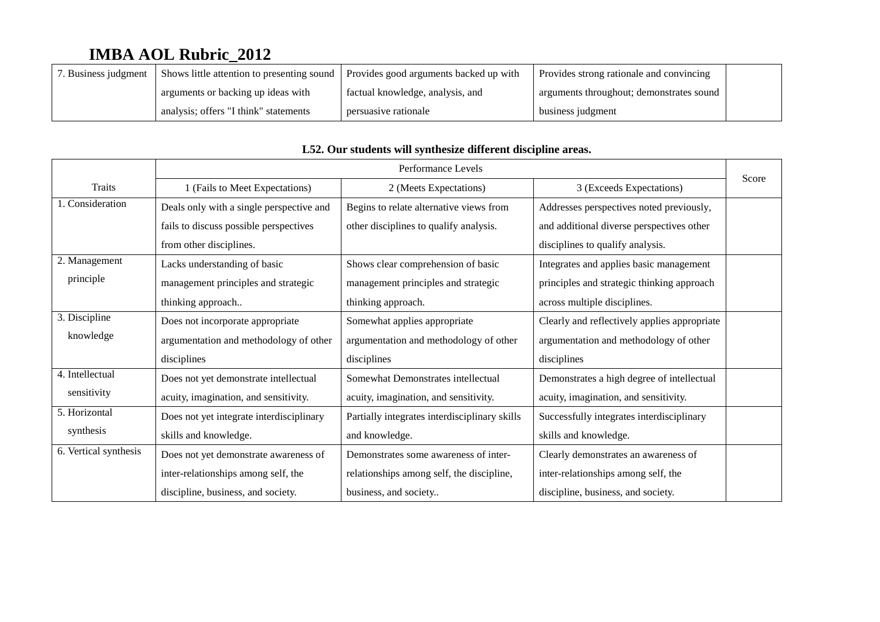| . Business judgment | Shows little attention to presenting sound | Provides good arguments backed up with | Provides strong rationale and convincing |  |
|---------------------|--------------------------------------------|----------------------------------------|------------------------------------------|--|
|                     | arguments or backing up ideas with         | factual knowledge, analysis, and       | arguments throughout; demonstrates sound |  |
|                     | analysis; offers "I think" statements      | persuasive rationale                   | business judgment                        |  |

|                       | Performance Levels                       |                                               |                                              | Score |
|-----------------------|------------------------------------------|-----------------------------------------------|----------------------------------------------|-------|
| Traits                | 1 (Fails to Meet Expectations)           | 2 (Meets Expectations)                        | 3 (Exceeds Expectations)                     |       |
| 1. Consideration      | Deals only with a single perspective and | Begins to relate alternative views from       | Addresses perspectives noted previously,     |       |
|                       | fails to discuss possible perspectives   | other disciplines to qualify analysis.        | and additional diverse perspectives other    |       |
|                       | from other disciplines.                  |                                               | disciplines to qualify analysis.             |       |
| 2. Management         | Lacks understanding of basic             | Shows clear comprehension of basic            | Integrates and applies basic management      |       |
| principle             | management principles and strategic      | management principles and strategic           | principles and strategic thinking approach   |       |
|                       | thinking approach                        | thinking approach.                            | across multiple disciplines.                 |       |
| 3. Discipline         | Does not incorporate appropriate         | Somewhat applies appropriate                  | Clearly and reflectively applies appropriate |       |
| knowledge             | argumentation and methodology of other   | argumentation and methodology of other        | argumentation and methodology of other       |       |
|                       | disciplines                              | disciplines                                   | disciplines                                  |       |
| 4. Intellectual       | Does not yet demonstrate intellectual    | Somewhat Demonstrates intellectual            | Demonstrates a high degree of intellectual   |       |
| sensitivity           | acuity, imagination, and sensitivity.    | acuity, imagination, and sensitivity.         | acuity, imagination, and sensitivity.        |       |
| 5. Horizontal         | Does not yet integrate interdisciplinary | Partially integrates interdisciplinary skills | Successfully integrates interdisciplinary    |       |
| synthesis             | skills and knowledge.                    | and knowledge.                                | skills and knowledge.                        |       |
| 6. Vertical synthesis | Does not yet demonstrate awareness of    | Demonstrates some awareness of inter-         | Clearly demonstrates an awareness of         |       |
|                       | inter-relationships among self, the      | relationships among self, the discipline,     | inter-relationships among self, the          |       |
|                       | discipline, business, and society.       | business, and society                         | discipline, business, and society.           |       |

### **L52. Our students will synthesize different discipline areas.**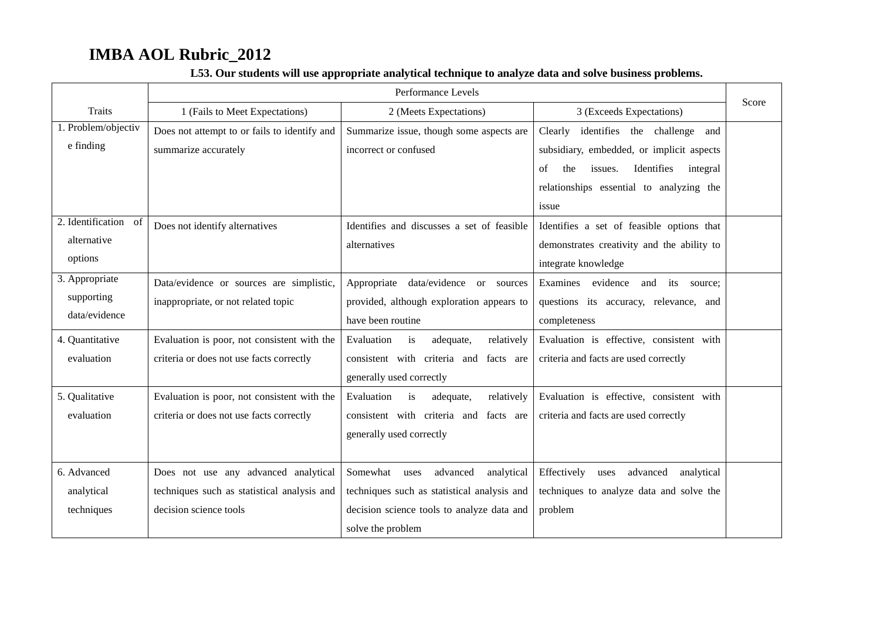|                      | Performance Levels                           |                                             |                                                | Score |
|----------------------|----------------------------------------------|---------------------------------------------|------------------------------------------------|-------|
| Traits               | 1 (Fails to Meet Expectations)               | 2 (Meets Expectations)                      | 3 (Exceeds Expectations)                       |       |
| 1. Problem/objectiv  | Does not attempt to or fails to identify and | Summarize issue, though some aspects are    | Clearly<br>identifies the challenge<br>and     |       |
| e finding            | summarize accurately                         | incorrect or confused                       | subsidiary, embedded, or implicit aspects      |       |
|                      |                                              |                                             | issues.<br>Identifies<br>the<br>integral<br>of |       |
|                      |                                              |                                             | relationships essential to analyzing the       |       |
|                      |                                              |                                             | issue                                          |       |
| 2. Identification of | Does not identify alternatives               | Identifies and discusses a set of feasible  | Identifies a set of feasible options that      |       |
| alternative          |                                              | alternatives                                | demonstrates creativity and the ability to     |       |
| options              |                                              |                                             | integrate knowledge                            |       |
| 3. Appropriate       | Data/evidence or sources are simplistic,     | Appropriate<br>data/evidence or sources     | Examines evidence<br>and its source:           |       |
| supporting           | inappropriate, or not related topic          | provided, although exploration appears to   | questions its accuracy, relevance, and         |       |
| data/evidence        |                                              | have been routine                           | completeness                                   |       |
| 4. Quantitative      | Evaluation is poor, not consistent with the  | Evaluation<br>adequate,<br>relatively<br>is | Evaluation is effective, consistent with       |       |
| evaluation           | criteria or does not use facts correctly     | consistent with criteria and<br>facts are   | criteria and facts are used correctly          |       |
|                      |                                              | generally used correctly                    |                                                |       |
| 5. Qualitative       | Evaluation is poor, not consistent with the  | Evaluation<br>adequate,<br>is<br>relatively | Evaluation is effective, consistent with       |       |
| evaluation           | criteria or does not use facts correctly     | consistent with criteria and facts are      | criteria and facts are used correctly          |       |
|                      |                                              | generally used correctly                    |                                                |       |
|                      |                                              |                                             |                                                |       |
| 6. Advanced          | Does not use any advanced analytical         | Somewhat uses<br>advanced<br>analytical     | Effectively<br>advanced<br>analytical<br>uses  |       |
| analytical           | techniques such as statistical analysis and  | techniques such as statistical analysis and | techniques to analyze data and solve the       |       |
| techniques           | decision science tools                       | decision science tools to analyze data and  | problem                                        |       |
|                      |                                              | solve the problem                           |                                                |       |

### **L53. Our students will use appropriate analytical technique to analyze data and solve business problems.**